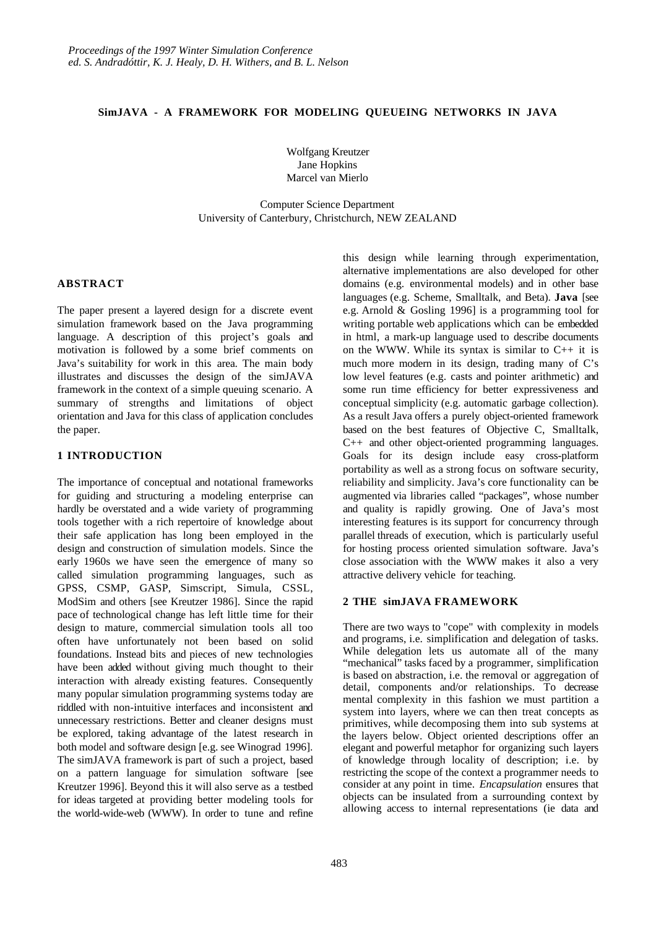#### **SimJAVA - A FRAMEWORK FOR MODELING QUEUEING NETWORKS IN JAVA**

Wolfgang Kreutzer Jane Hopkins Marcel van Mierlo

Computer Science Department University of Canterbury, Christchurch, NEW ZEALAND

#### **ABSTRACT**

The paper present a layered design for a discrete event simulation framework based on the Java programming language. A description of this project's goals and motivation is followed by a some brief comments on Java's suitability for work in this area. The main body illustrates and discusses the design of the simJAVA framework in the context of a simple queuing scenario. A summary of strengths and limitations of object orientation and Java for this class of application concludes the paper.

# **1 INTRODUCTION**

The importance of conceptual and notational frameworks for guiding and structuring a modeling enterprise can hardly be overstated and a wide variety of programming tools together with a rich repertoire of knowledge about their safe application has long been employed in the design and construction of simulation models. Since the early 1960s we have seen the emergence of many so called simulation programming languages, such as GPSS, CSMP, GASP, Simscript, Simula, CSSL, ModSim and others [see Kreutzer 1986]. Since the rapid pace of technological change has left little time for their design to mature, commercial simulation tools all too often have unfortunately not been based on solid foundations. Instead bits and pieces of new technologies have been added without giving much thought to their interaction with already existing features. Consequently many popular simulation programming systems today are riddled with non-intuitive interfaces and inconsistent and unnecessary restrictions. Better and cleaner designs must be explored, taking advantage of the latest research in both model and software design [e.g. see Winograd 1996]. The simJAVA framework is part of such a project, based on a pattern language for simulation software [see Kreutzer 1996]. Beyond this it will also serve as a testbed for ideas targeted at providing better modeling tools for the world-wide-web (WWW). In order to tune and refine this design while learning through experimentation, alternative implementations are also developed for other domains (e.g. environmental models) and in other base languages (e.g. Scheme, Smalltalk, and Beta). **Java** [see e.g. Arnold & Gosling 1996] is a programming tool for writing portable web applications which can be embedded in html, a mark-up language used to describe documents on the WWW. While its syntax is similar to  $C_{++}$  it is much more modern in its design, trading many of C's low level features (e.g. casts and pointer arithmetic) and some run time efficiency for better expressiveness and conceptual simplicity (e.g. automatic garbage collection). As a result Java offers a purely object-oriented framework based on the best features of Objective C, Smalltalk, C++ and other object-oriented programming languages. Goals for its design include easy cross-platform portability as well as a strong focus on software security, reliability and simplicity. Java's core functionality can be augmented via libraries called "packages", whose number and quality is rapidly growing. One of Java's most interesting features is its support for concurrency through parallel threads of execution, which is particularly useful for hosting process oriented simulation software. Java's close association with the WWW makes it also a very attractive delivery vehicle for teaching.

### **2 THE simJAVA FRAMEWORK**

There are two ways to "cope" with complexity in models and programs, i.e. simplification and delegation of tasks. While delegation lets us automate all of the many "mechanical" tasks faced by a programmer, simplification is based on abstraction, i.e. the removal or aggregation of detail, components and/or relationships. To decrease mental complexity in this fashion we must partition a system into layers, where we can then treat concepts as primitives, while decomposing them into sub systems at the layers below. Object oriented descriptions offer an elegant and powerful metaphor for organizing such layers of knowledge through locality of description; i.e. by restricting the scope of the context a programmer needs to consider at any point in time. *Encapsulation* ensures that objects can be insulated from a surrounding context by allowing access to internal representations (ie data and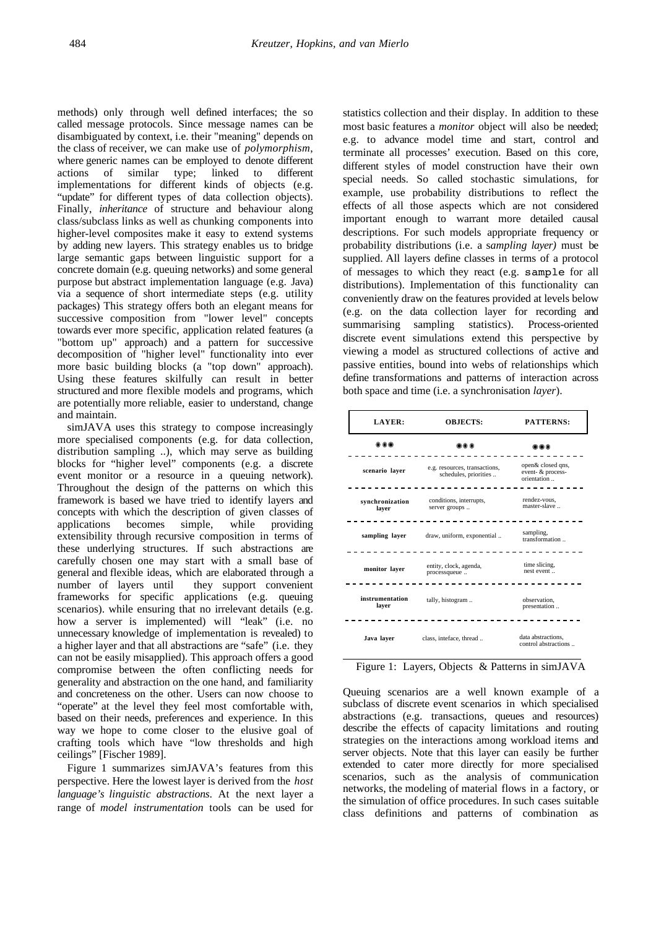methods) only through well defined interfaces; the so called message protocols. Since message names can be disambiguated by context, i.e. their "meaning" depends on the class of receiver, we can make use of *polymorphism*, where generic names can be employed to denote different actions of similar type; linked to different implementations for different kinds of objects (e.g. "update" for different types of data collection objects). Finally, *inheritance* of structure and behaviour along class/subclass links as well as chunking components into higher-level composites make it easy to extend systems by adding new layers. This strategy enables us to bridge large semantic gaps between linguistic support for a concrete domain (e.g. queuing networks) and some general purpose but abstract implementation language (e.g. Java) via a sequence of short intermediate steps (e.g. utility packages) This strategy offers both an elegant means for successive composition from "lower level" concepts towards ever more specific, application related features (a "bottom up" approach) and a pattern for successive decomposition of "higher level" functionality into ever more basic building blocks (a "top down" approach). Using these features skilfully can result in better structured and more flexible models and programs, which are potentially more reliable, easier to understand, change and maintain.

simJAVA uses this strategy to compose increasingly more specialised components (e.g. for data collection, distribution sampling ..), which may serve as building blocks for "higher level" components (e.g. a discrete event monitor or a resource in a queuing network). Throughout the design of the patterns on which this framework is based we have tried to identify layers and concepts with which the description of given classes of applications becomes simple, while providing extensibility through recursive composition in terms of these underlying structures. If such abstractions are carefully chosen one may start with a small base of general and flexible ideas, which are elaborated through a number of layers until they support convenient frameworks for specific applications (e.g. queuing scenarios). while ensuring that no irrelevant details (e.g. how a server is implemented) will "leak" (i.e. no unnecessary knowledge of implementation is revealed) to a higher layer and that all abstractions are "safe" (i.e. they can not be easily misapplied). This approach offers a good compromise between the often conflicting needs for generality and abstraction on the one hand, and familiarity and concreteness on the other. Users can now choose to "operate" at the level they feel most comfortable with, based on their needs, preferences and experience. In this way we hope to come closer to the elusive goal of crafting tools which have "low thresholds and high ceilings" [Fischer 1989].

Figure 1 summarizes simJAVA's features from this perspective. Here the lowest layer is derived from the *host language's linguistic abstractions*. At the next layer a range of *model instrumentation* tools can be used for statistics collection and their display. In addition to these most basic features a *monitor* object will also be needed; e.g. to advance model time and start, control and terminate all processes' execution. Based on this core, different styles of model construction have their own special needs. So called stochastic simulations, for example, use probability distributions to reflect the effects of all those aspects which are not considered important enough to warrant more detailed causal descriptions. For such models appropriate frequency or probability distributions (i.e. a s*ampling layer)* must be supplied. All layers define classes in terms of a protocol of messages to which they react (e.g. sample for all distributions). Implementation of this functionality can conveniently draw on the features provided at levels below (e.g. on the data collection layer for recording and summarising sampling statistics). Process-oriented discrete event simulations extend this perspective by viewing a model as structured collections of active and passive entities, bound into webs of relationships which define transformations and patterns of interaction across both space and time (i.e. a synchronisation *layer*).

| <b>LAYER:</b>            | <b>OBJECTS:</b>                                        | <b>PATTERNS:</b>                                      |
|--------------------------|--------------------------------------------------------|-------------------------------------------------------|
|                          |                                                        |                                                       |
| scenario laver           | e.g. resources, transactions,<br>schedules, priorities | open& closed qns,<br>event- & process-<br>orientation |
| synchronization<br>layer | conditions, interrupts,<br>server groups               | rendez-vous,<br>master-slave                          |
| sampling layer           | draw, uniform, exponential                             | sampling,<br>transformation                           |
| monitor layer            | entity, clock, agenda,<br>processqueue                 | time slicing,<br>nest event                           |
| instrumentation<br>laver | tally, histogram                                       | observation.<br>presentation                          |
| Java laver               | class, inteface, thread                                | data abstractions.<br>control abstractions            |

Figure 1: Layers, Objects & Patterns in simJAVA

Queuing scenarios are a well known example of a subclass of discrete event scenarios in which specialised abstractions (e.g. transactions, queues and resources) describe the effects of capacity limitations and routing strategies on the interactions among workload items and server objects. Note that this layer can easily be further extended to cater more directly for more specialised scenarios, such as the analysis of communication networks, the modeling of material flows in a factory, or the simulation of office procedures. In such cases suitable class definitions and patterns of combination as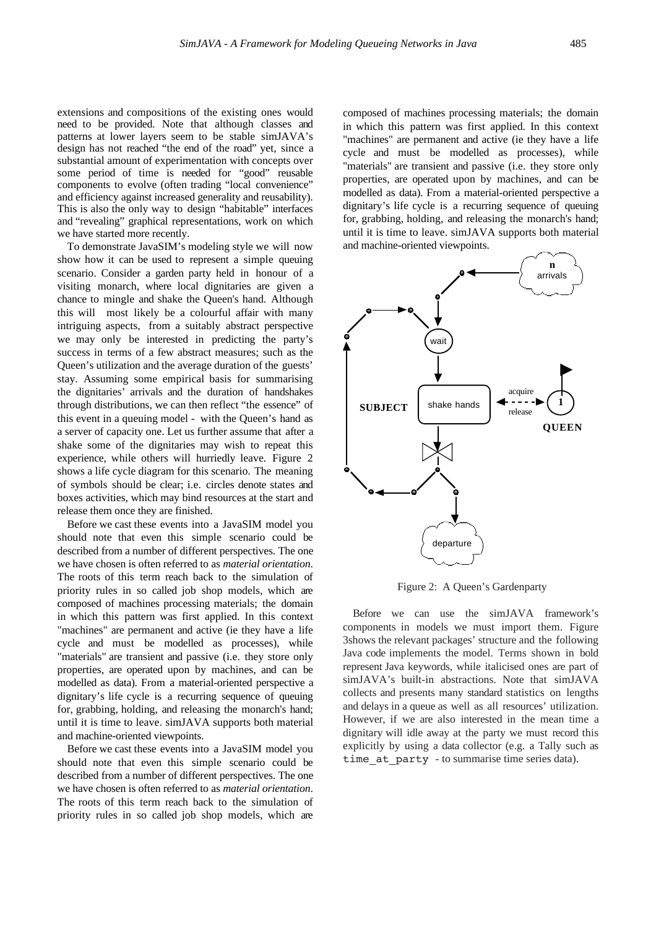extensions and compositions of the existing ones would need to be provided. Note that although classes and patterns at lower layers seem to be stable simJAVA's design has not reached "the end of the road" yet, since a substantial amount of experimentation with concepts over some period of time is needed for "good" reusable components to evolve (often trading "local convenience" and efficiency against increased generality and reusability). This is also the only way to design "habitable" interfaces and "revealing" graphical representations, work on which we have started more recently.

To demonstrate JavaSIM's modeling style we will now show how it can be used to represent a simple queuing scenario. Consider a garden party held in honour of a visiting monarch, where local dignitaries are given a chance to mingle and shake the Queen's hand. Although this will most likely be a colourful affair with many intriguing aspects, from a suitably abstract perspective we may only be interested in predicting the party's success in terms of a few abstract measures; such as the Queen's utilization and the average duration of the guests' stay. Assuming some empirical basis for summarising the dignitaries' arrivals and the duration of handshakes through distributions, we can then reflect "the essence" of this event in a queuing model - with the Queen's hand as a server of capacity one. Let us further assume that after a shake some of the dignitaries may wish to repeat this experience, while others will hurriedly leave. Figure 2 shows a life cycle diagram for this scenario. The meaning of symbols should be clear; i.e. circles denote states and boxes activities, which may bind resources at the start and release them once they are finished.

Before we cast these events into a JavaSIM model you should note that even this simple scenario could be described from a number of different perspectives. The one we have chosen is often referred to as *material orientation*. The roots of this term reach back to the simulation of priority rules in so called job shop models, which are composed of machines processing materials; the domain in which this pattern was first applied. In this context "machines" are permanent and active (ie they have a life cycle and must be modelled as processes), while "materials" are transient and passive (i.e. they store only properties, are operated upon by machines, and can be modelled as data). From a material-oriented perspective a dignitary's life cycle is a recurring sequence of queuing for, grabbing, holding, and releasing the monarch's hand; until it is time to leave. simJAVA supports both material and machine-oriented viewpoints.

Before we cast these events into a JavaSIM model you should note that even this simple scenario could be described from a number of different perspectives. The one we have chosen is often referred to as *material orientation*. The roots of this term reach back to the simulation of priority rules in so called job shop models, which are composed of machines processing materials; the domain in which this pattern was first applied. In this context "machines" are permanent and active (ie they have a life cycle and must be modelled as processes), while "materials" are transient and passive (i.e. they store only properties, are operated upon by machines, and can be modelled as data). From a material-oriented perspective a dignitary's life cycle is a recurring sequence of queuing for, grabbing, holding, and releasing the monarch's hand; until it is time to leave. simJAVA supports both material and machine-oriented viewpoints.



Figure 2: A Queen's Gardenparty

Before we can use the simJAVA framework's components in models we must import them. Figure 3shows the relevant packages' structure and the following Java code implements the model. Terms shown in bold represent Java keywords, while italicised ones are part of simJAVA's built-in abstractions. Note that simJAVA collects and presents many standard statistics on lengths and delays in a queue as well as all resources' utilization. However, if we are also interested in the mean time a dignitary will idle away at the party we must record this explicitly by using a data collector (e.g. a Tally such as time at party - to summarise time series data).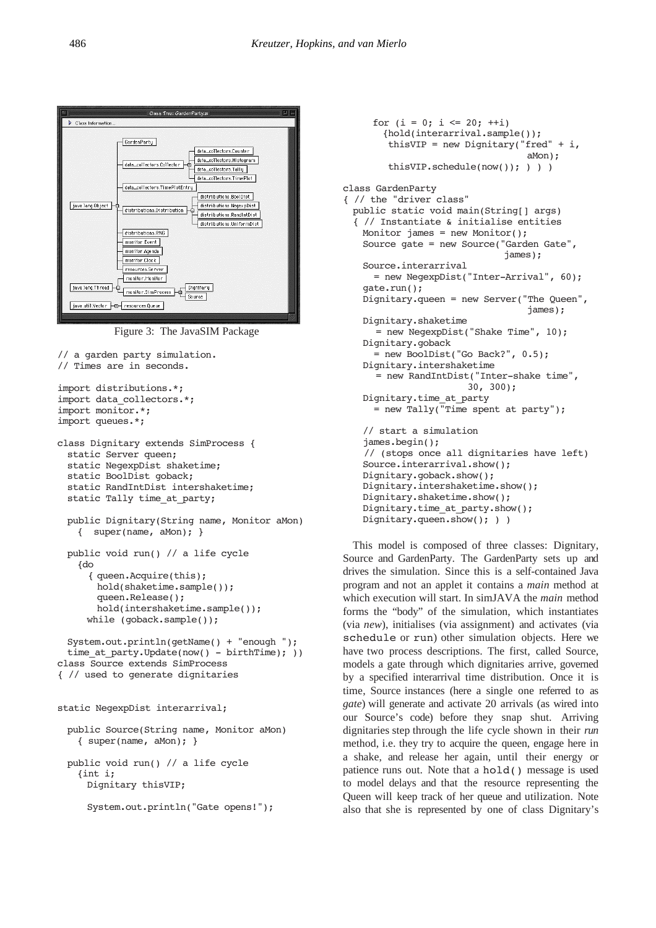

Figure 3: The JavaSIM Package

```
// a garden party simulation.
// Times are in seconds.
import distributions.*;
import data_collectors.*;
import monitor.*;
import queues.*;
class Dignitary extends SimProcess {
 static Server queen:
 static NegexpDist shaketime;
 static BoolDist goback;
 static RandIntDist intershaketime;
 static Tally time_at_party;
 public Dignitary(String name, Monitor aMon)
   { super(name, aMon); }
 public void run() // a life cycle
   {do
      { queen.Acquire(this);
        hold(shaketime.sample());
        queen.Release();
        hold(intershaketime.sample());
     while (goback.sample());
 System.out.println(getName() + "enough ");
 time at party.Update(now() - birthTime); ))
class Source extends SimProcess
{ // used to generate dignitaries
static NegexpDist interarrival;
 public Source(String name, Monitor aMon)
   { super(name, aMon); }
 public void run() // a life cycle
   {int i;
     Dignitary thisVIP;
     System.out.println("Gate opens!");
```

```
{hold(interarrival.sample());
        thisVIP = new Dignitary("fred" + i,
                                   aMon);
         thisVIP.schedule(now()); ) ) )
class GardenParty
{ // the "driver class"
 public static void main(String[] args)
  { // Instantiate & initialise entities
   Monitor james = new Monitor();
   Source gate = new Source("Garden Gate", 
                               james);
   Source.interarrival
      = new NegexpDist("Inter-Arrival", 60);
   gate.run();
   Dignitary.queen = new Server("The Queen", 
                                    james);
   Dignitary.shaketime
       = new NegexpDist("Shake Time", 10);
   Dignitary.goback
      = new BoolDist("Go Back?", 0.5);
   Dignitary.intershaketime
       = new RandIntDist("Inter-shake time", 
                        30, 300);
   Dignitary.time_at_party
     = new Tally("Time spent at party");
   // start a simulation
   james.begin();
     // (stops once all dignitaries have left)
   Source.interarrival.show();
   Dignitary.goback.show();
   Dignitary.intershaketime.show();
   Dignitary.shaketime.show();
   Dignitary.time_at_party.show();
   Dignitary.queen.show(); ) )
```
for  $(i = 0; i \le 20; ++i)$ 

This model is composed of three classes: Dignitary, Source and GardenParty. The GardenParty sets up and drives the simulation. Since this is a self-contained Java program and not an applet it contains a *main* method at which execution will start. In simJAVA the *main* method forms the "body" of the simulation, which instantiates (via *new*), initialises (via assignment) and activates (via schedule or run) other simulation objects. Here we have two process descriptions. The first, called Source, models a gate through which dignitaries arrive, governed by a specified interarrival time distribution. Once it is time, Source instances (here a single one referred to as *gate*) will generate and activate 20 arrivals (as wired into our Source's code) before they snap shut. Arriving dignitaries step through the life cycle shown in their *run* method, i.e. they try to acquire the queen, engage here in a shake, and release her again, until their energy or patience runs out. Note that a hold() message is used to model delays and that the resource representing the Queen will keep track of her queue and utilization. Note also that she is represented by one of class Dignitary's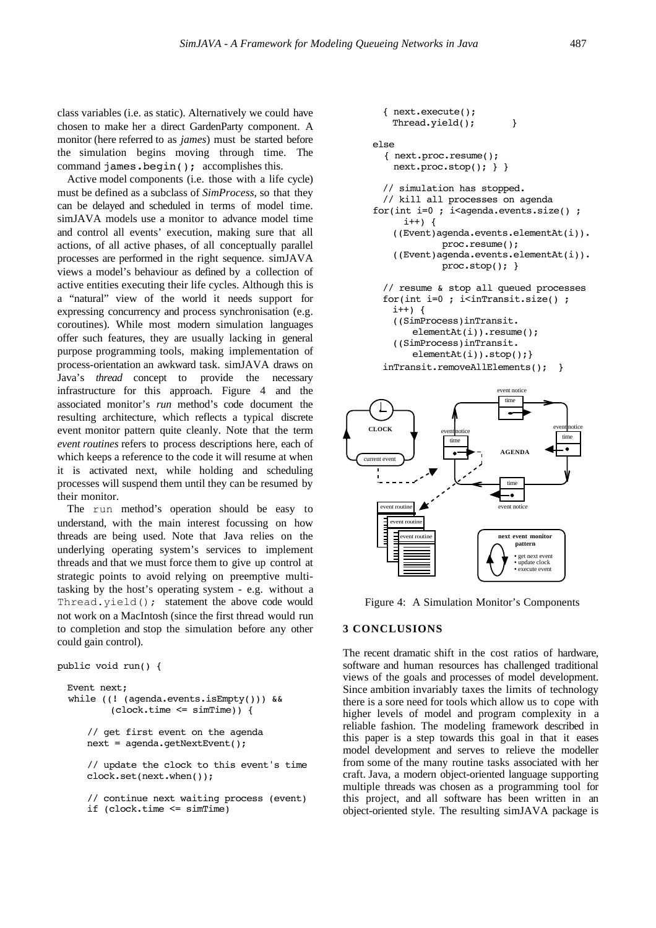class variables (i.e. as static). Alternatively we could have chosen to make her a direct GardenParty component. A monitor (here referred to as *james*) must be started before the simulation begins moving through time. The command james.begin(); accomplishes this.

Active model components (i.e. those with a life cycle) must be defined as a subclass of *SimProcess*, so that they can be delayed and scheduled in terms of model time. simJAVA models use a monitor to advance model time and control all events' execution, making sure that all actions, of all active phases, of all conceptually parallel processes are performed in the right sequence. simJAVA views a model's behaviour as defined by a collection of active entities executing their life cycles. Although this is a "natural" view of the world it needs support for expressing concurrency and process synchronisation (e.g. coroutines). While most modern simulation languages offer such features, they are usually lacking in general purpose programming tools, making implementation of process-orientation an awkward task. simJAVA draws on Java's *thread* concept to provide the necessary infrastructure for this approach. Figure 4 and the associated monitor's *run* method's code document the resulting architecture, which reflects a typical discrete event monitor pattern quite cleanly. Note that the term *event routines* refers to process descriptions here, each of which keeps a reference to the code it will resume at when it is activated next, while holding and scheduling processes will suspend them until they can be resumed by their monitor.

The run method's operation should be easy to understand, with the main interest focussing on how threads are being used. Note that Java relies on the underlying operating system's services to implement threads and that we must force them to give up control at strategic points to avoid relying on preemptive multitasking by the host's operating system - e.g. without a Thread.yield(); statement the above code would not work on a MacIntosh (since the first thread would run to completion and stop the simulation before any other could gain control).

```
public void run() {
 Event next;
   while ((! (agenda.events.isEmpty())) && 
           (clock.time <= simTime)) {
     // get first event on the agenda
     next = agenda.getNextEvent();
     // update the clock to this event's time
     clock.set(next.when());
     // continue next waiting process (event)
     if (clock.time <= simTime)
```

```
{ next.execute();
   Thread.yield(); }
else
   { next.proc.resume();
     next.proc.stop(); } }
  // simulation has stopped. 
  // kill all processes on agenda
for(int i=0 ; i<agenda.events.size() ;
     i^{++}) {
     ((Event)agenda.events.elementAt(i)).
             proc.resume();
    ((Event)agenda.events.elementAt(i)).
             proc.stop(); }
  // resume & stop all queued processes
  for(int i=0 ; i<inTransit.size() ;
   i++) {
    ((SimProcess)inTransit.
       elementAt(i)).resume();
    ((SimProcess)inTransit.
       elementAt(i)).stop();}
  inTransit.removeAllElements(); }
```


Figure 4: A Simulation Monitor's Components

# **3 CONCLUSIONS**

The recent dramatic shift in the cost ratios of hardware, software and human resources has challenged traditional views of the goals and processes of model development. Since ambition invariably taxes the limits of technology there is a sore need for tools which allow us to cope with higher levels of model and program complexity in a reliable fashion. The modeling framework described in this paper is a step towards this goal in that it eases model development and serves to relieve the modeller from some of the many routine tasks associated with her craft. Java, a modern object-oriented language supporting multiple threads was chosen as a programming tool for this project, and all software has been written in an object-oriented style. The resulting simJAVA package is